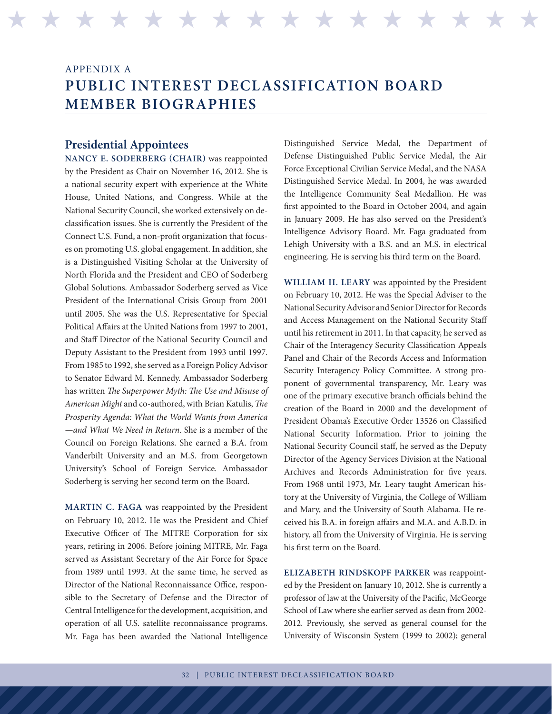## APPENDIX A **PUBLIC INTEREST DECLASSIFICATION BOARD MEMBER BIOGRAPHIES**

H H H H H H H H H H H H H H H H H H H H H H H H H H H H H H H H

## **Presidential Appointees**

**NANCY E. SODERBERG (CHAIR)** was reappointed by the President as Chair on November 16, 2012. She is a national security expert with experience at the White House, United Nations, and Congress. While at the National Security Council, she worked extensively on declassification issues. She is currently the President of the Connect U.S. Fund, a non-profit organization that focuses on promoting U.S. global engagement. In addition, she is a Distinguished Visiting Scholar at the University of North Florida and the President and CEO of Soderberg Global Solutions. Ambassador Soderberg served as Vice President of the International Crisis Group from 2001 until 2005. She was the U.S. Representative for Special Political Affairs at the United Nations from 1997 to 2001, and Staff Director of the National Security Council and Deputy Assistant to the President from 1993 until 1997. From 1985 to 1992, she served as a Foreign Policy Advisor to Senator Edward M. Kennedy. Ambassador Soderberg has written *The Superpower Myth: The Use and Misuse of American Might* and co-authored, with Brian Katulis, *The Prosperity Agenda: What the World Wants from America —and What We Need in Return*. She is a member of the Council on Foreign Relations. She earned a B.A. from Vanderbilt University and an M.S. from Georgetown University's School of Foreign Service. Ambassador Soderberg is serving her second term on the Board.

**MARTIN C. FAGA** was reappointed by the President on February 10, 2012. He was the President and Chief Executive Officer of The MITRE Corporation for six years, retiring in 2006. Before joining MITRE, Mr. Faga served as Assistant Secretary of the Air Force for Space from 1989 until 1993. At the same time, he served as Director of the National Reconnaissance Office, responsible to the Secretary of Defense and the Director of Central Intelligence for the development, acquisition, and operation of all U.S. satellite reconnaissance programs. Mr. Faga has been awarded the National Intelligence

Distinguished Service Medal, the Department of Defense Distinguished Public Service Medal, the Air Force Exceptional Civilian Service Medal, and the NASA Distinguished Service Medal. In 2004, he was awarded the Intelligence Community Seal Medallion. He was first appointed to the Board in October 2004, and again in January 2009. He has also served on the President's Intelligence Advisory Board. Mr. Faga graduated from Lehigh University with a B.S. and an M.S. in electrical engineering. He is serving his third term on the Board.

**WILLIAM H. LEARY** was appointed by the President on February 10, 2012. He was the Special Adviser to the National Security Advisor and Senior Director for Records and Access Management on the National Security Staff until his retirement in 2011. In that capacity, he served as Chair of the Interagency Security Classification Appeals Panel and Chair of the Records Access and Information Security Interagency Policy Committee. A strong proponent of governmental transparency, Mr. Leary was one of the primary executive branch officials behind the creation of the Board in 2000 and the development of President Obama's Executive Order 13526 on Classified National Security Information. Prior to joining the National Security Council staff, he served as the Deputy Director of the Agency Services Division at the National Archives and Records Administration for five years. From 1968 until 1973, Mr. Leary taught American history at the University of Virginia, the College of William and Mary, and the University of South Alabama. He received his B.A. in foreign affairs and M.A. and A.B.D. in history, all from the University of Virginia. He is serving his first term on the Board.

**ELIZABETH RINDSKOPF PARKER** was reappointed by the President on January 10, 2012. She is currently a professor of law at the University of the Pacific, McGeorge School of Law where she earlier served as dean from 2002- 2012. Previously, she served as general counsel for the University of Wisconsin System (1999 to 2002); general